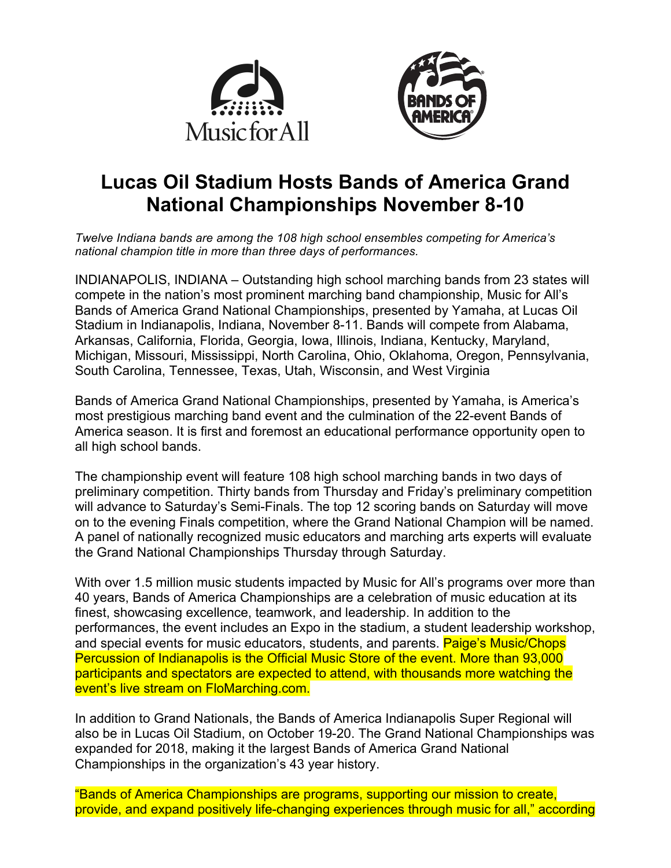



# **Lucas Oil Stadium Hosts Bands of America Grand National Championships November 8-10**

*Twelve Indiana bands are among the 108 high school ensembles competing for America's national champion title in more than three days of performances.*

INDIANAPOLIS, INDIANA – Outstanding high school marching bands from 23 states will compete in the nation's most prominent marching band championship, Music for All's Bands of America Grand National Championships, presented by Yamaha, at Lucas Oil Stadium in Indianapolis, Indiana, November 8-11. Bands will compete from Alabama, Arkansas, California, Florida, Georgia, Iowa, Illinois, Indiana, Kentucky, Maryland, Michigan, Missouri, Mississippi, North Carolina, Ohio, Oklahoma, Oregon, Pennsylvania, South Carolina, Tennessee, Texas, Utah, Wisconsin, and West Virginia

Bands of America Grand National Championships, presented by Yamaha, is America's most prestigious marching band event and the culmination of the 22-event Bands of America season. It is first and foremost an educational performance opportunity open to all high school bands.

The championship event will feature 108 high school marching bands in two days of preliminary competition. Thirty bands from Thursday and Friday's preliminary competition will advance to Saturday's Semi-Finals. The top 12 scoring bands on Saturday will move on to the evening Finals competition, where the Grand National Champion will be named. A panel of nationally recognized music educators and marching arts experts will evaluate the Grand National Championships Thursday through Saturday.

With over 1.5 million music students impacted by Music for All's programs over more than 40 years, Bands of America Championships are a celebration of music education at its finest, showcasing excellence, teamwork, and leadership. In addition to the performances, the event includes an Expo in the stadium, a student leadership workshop, and special events for music educators, students, and parents. **Paige's Music/Chops** Percussion of Indianapolis is the Official Music Store of the event. More than 93,000 participants and spectators are expected to attend, with thousands more watching the event's live stream on FloMarching.com.

In addition to Grand Nationals, the Bands of America Indianapolis Super Regional will also be in Lucas Oil Stadium, on October 19-20. The Grand National Championships was expanded for 2018, making it the largest Bands of America Grand National Championships in the organization's 43 year history.

"Bands of America Championships are programs, supporting our mission to create, provide, and expand positively life-changing experiences through music for all," according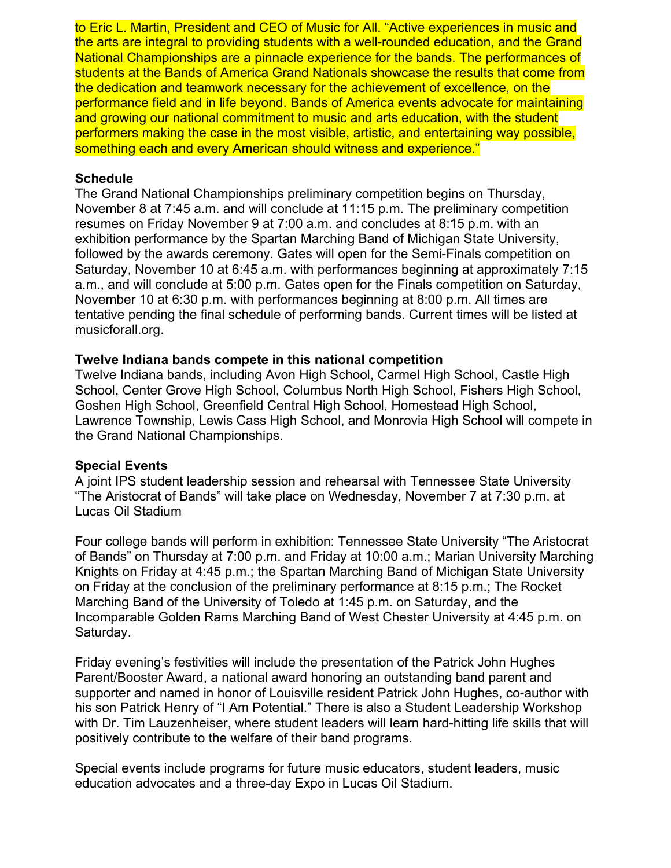to Eric L. Martin, President and CEO of Music for All. "Active experiences in music and the arts are integral to providing students with a well-rounded education, and the Grand National Championships are a pinnacle experience for the bands. The performances of students at the Bands of America Grand Nationals showcase the results that come from the dedication and teamwork necessary for the achievement of excellence, on the performance field and in life beyond. Bands of America events advocate for maintaining and growing our national commitment to music and arts education, with the student performers making the case in the most visible, artistic, and entertaining way possible, something each and every American should witness and experience."

## **Schedule**

The Grand National Championships preliminary competition begins on Thursday, November 8 at 7:45 a.m. and will conclude at 11:15 p.m. The preliminary competition resumes on Friday November 9 at 7:00 a.m. and concludes at 8:15 p.m. with an exhibition performance by the Spartan Marching Band of Michigan State University, followed by the awards ceremony. Gates will open for the Semi-Finals competition on Saturday, November 10 at 6:45 a.m. with performances beginning at approximately 7:15 a.m., and will conclude at 5:00 p.m. Gates open for the Finals competition on Saturday, November 10 at 6:30 p.m. with performances beginning at 8:00 p.m. All times are tentative pending the final schedule of performing bands. Current times will be listed at musicforall.org.

### **Twelve Indiana bands compete in this national competition**

Twelve Indiana bands, including Avon High School, Carmel High School, Castle High School, Center Grove High School, Columbus North High School, Fishers High School, Goshen High School, Greenfield Central High School, Homestead High School, Lawrence Township, Lewis Cass High School, and Monrovia High School will compete in the Grand National Championships.

## **Special Events**

A joint IPS student leadership session and rehearsal with Tennessee State University "The Aristocrat of Bands" will take place on Wednesday, November 7 at 7:30 p.m. at Lucas Oil Stadium

Four college bands will perform in exhibition: Tennessee State University "The Aristocrat of Bands" on Thursday at 7:00 p.m. and Friday at 10:00 a.m.; Marian University Marching Knights on Friday at 4:45 p.m.; the Spartan Marching Band of Michigan State University on Friday at the conclusion of the preliminary performance at 8:15 p.m.; The Rocket Marching Band of the University of Toledo at 1:45 p.m. on Saturday, and the Incomparable Golden Rams Marching Band of West Chester University at 4:45 p.m. on Saturday.

Friday evening's festivities will include the presentation of the Patrick John Hughes Parent/Booster Award, a national award honoring an outstanding band parent and supporter and named in honor of Louisville resident Patrick John Hughes, co-author with his son Patrick Henry of "I Am Potential." There is also a Student Leadership Workshop with Dr. Tim Lauzenheiser, where student leaders will learn hard-hitting life skills that will positively contribute to the welfare of their band programs.

Special events include programs for future music educators, student leaders, music education advocates and a three-day Expo in Lucas Oil Stadium.